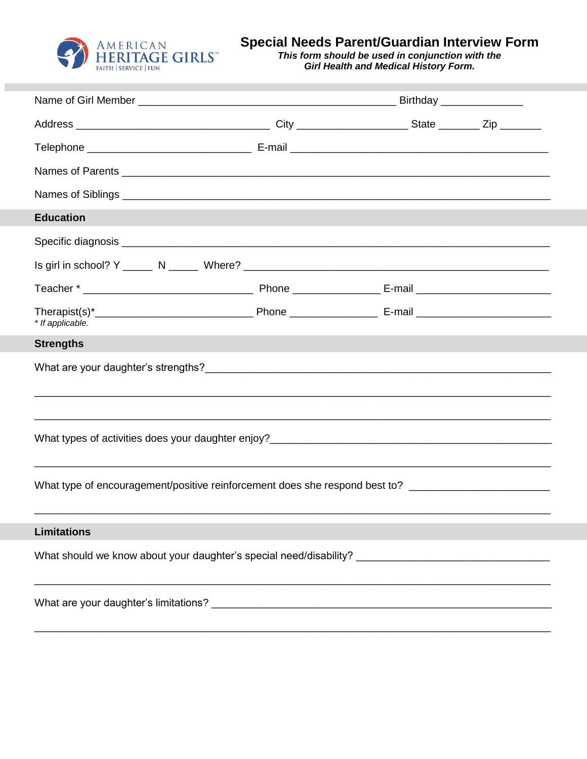

Special Needs Parent/Guardian Interview Form<br>This form should be used in conjunction with the<br>Girl Health and Medical History Form.

| <b>Education</b>   |  |  |  |  |
|--------------------|--|--|--|--|
|                    |  |  |  |  |
|                    |  |  |  |  |
|                    |  |  |  |  |
| * If applicable.   |  |  |  |  |
| <b>Strengths</b>   |  |  |  |  |
|                    |  |  |  |  |
|                    |  |  |  |  |
|                    |  |  |  |  |
|                    |  |  |  |  |
|                    |  |  |  |  |
|                    |  |  |  |  |
|                    |  |  |  |  |
| <b>Limitations</b> |  |  |  |  |
|                    |  |  |  |  |
|                    |  |  |  |  |
|                    |  |  |  |  |
|                    |  |  |  |  |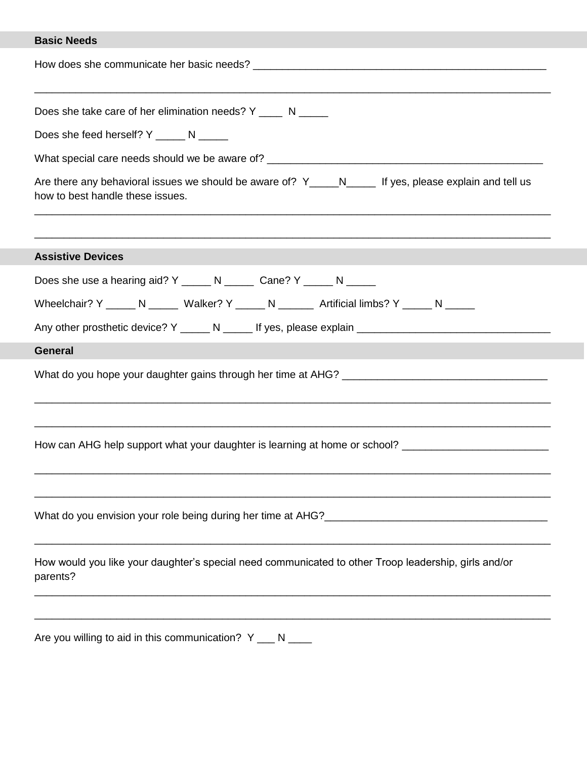## **Basic Needs**

| <b>DASIC NEEDS</b>                                                                                                                         |
|--------------------------------------------------------------------------------------------------------------------------------------------|
|                                                                                                                                            |
| Does she take care of her elimination needs? Y ____ N _____                                                                                |
| Does she feed herself? Y ______ N _____                                                                                                    |
|                                                                                                                                            |
| Are there any behavioral issues we should be aware of? Y_____N_____ If yes, please explain and tell us<br>how to best handle these issues. |
| <b>Assistive Devices</b>                                                                                                                   |
| Does she use a hearing aid? Y ______ N ______ Cane? Y _____ N _____                                                                        |
| Wheelchair? Y _____ N _____ Walker? Y _____ N ______ Artificial limbs? Y _____ N _____                                                     |
|                                                                                                                                            |
| <b>General</b>                                                                                                                             |
|                                                                                                                                            |
| How can AHG help support what your daughter is learning at home or school? _________________________                                       |
|                                                                                                                                            |
| How would you like your daughter's special need communicated to other Troop leadership, girls and/or<br>parents?                           |
|                                                                                                                                            |
|                                                                                                                                            |

Are you willing to aid in this communication?  $Y \_\_\_N$